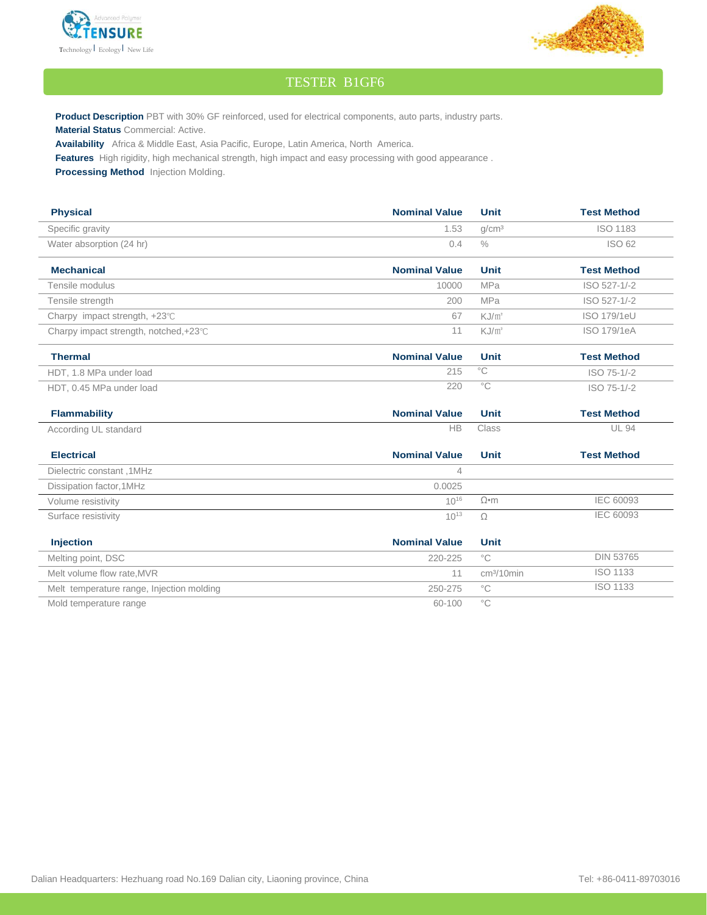



## TESTER B1GF6

**Product Description** PBT with 30% GF reinforced, used for electrical components, auto parts, industry parts. **Material Status** Commercial: Active.

**Availability** Africa & Middle East, Asia Pacific, Europe, Latin America, North America.

**Features** High rigidity, high mechanical strength, high impact and easy processing with good appearance .

**Processing Method** Injection Molding.

| <b>Physical</b>                           | <b>Nominal Value</b> | <b>Unit</b>       | <b>Test Method</b> |
|-------------------------------------------|----------------------|-------------------|--------------------|
| Specific gravity                          | 1.53                 | q/cm <sup>3</sup> | <b>ISO 1183</b>    |
| Water absorption (24 hr)                  | 0.4                  | $\frac{0}{0}$     | ISO 62             |
| <b>Mechanical</b>                         | <b>Nominal Value</b> | <b>Unit</b>       | <b>Test Method</b> |
| Tensile modulus                           | 10000                | <b>MPa</b>        | ISO 527-1/-2       |
| Tensile strength                          | 200                  | <b>MPa</b>        | ISO 527-1/-2       |
| Charpy impact strength, +23℃              | 67                   | KJ/m <sup>2</sup> | ISO 179/1eU        |
| Charpy impact strength, notched,+23°C     | 11                   | $KJ/m^2$          | ISO 179/1eA        |
| <b>Thermal</b>                            | <b>Nominal Value</b> | <b>Unit</b>       | <b>Test Method</b> |
| HDT, 1.8 MPa under load                   | 215                  | $^{\circ}$ C      | ISO 75-1/-2        |
| HDT, 0.45 MPa under load                  | 220                  | $\overline{C}$    | ISO 75-1/-2        |
| <b>Flammability</b>                       | <b>Nominal Value</b> | <b>Unit</b>       | <b>Test Method</b> |
| According UL standard                     | <b>HB</b>            | Class             | <b>UL 94</b>       |
|                                           |                      |                   |                    |
| <b>Electrical</b>                         | <b>Nominal Value</b> | <b>Unit</b>       | <b>Test Method</b> |
| Dielectric constant, 1MHz                 | 4                    |                   |                    |
| Dissipation factor, 1MHz                  | 0.0025               |                   |                    |
| Volume resistivity                        | $10^{16}$            | $\Omega$ •m       | <b>IEC 60093</b>   |
| Surface resistivity                       | $10^{13}$            | Ω                 | <b>IEC 60093</b>   |
| <b>Injection</b>                          | <b>Nominal Value</b> | <b>Unit</b>       |                    |
| Melting point, DSC                        | 220-225              | $^{\circ}$ C      | <b>DIN 53765</b>   |
| Melt volume flow rate, MVR                | 11                   | $cm3/10$ min      | <b>ISO 1133</b>    |
| Melt temperature range, Injection molding | 250-275              | $^{\circ}$ C      | <b>ISO 1133</b>    |